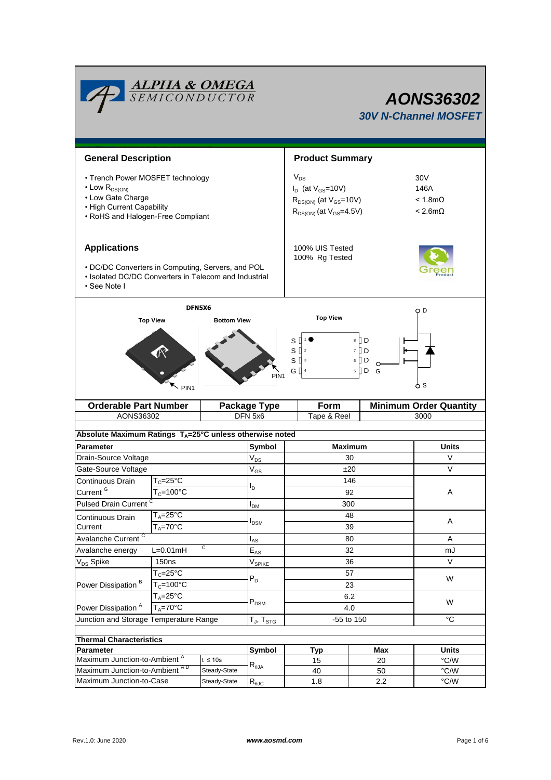|                                                                                                                                                     | <b>ALPHA &amp; OMEGA</b><br>SEMICONDUCTOR               |                | <b>AONS36302</b><br><b>30V N-Channel MOSFET</b> |                                                                                                             |                                                     |              |  |  |
|-----------------------------------------------------------------------------------------------------------------------------------------------------|---------------------------------------------------------|----------------|-------------------------------------------------|-------------------------------------------------------------------------------------------------------------|-----------------------------------------------------|--------------|--|--|
|                                                                                                                                                     | <b>General Description</b>                              |                |                                                 |                                                                                                             | <b>Product Summary</b>                              |              |  |  |
| • Trench Power MOSFET technology<br>$\cdot$ Low $R_{DS(ON)}$<br>• Low Gate Charge<br>• High Current Capability<br>• RoHS and Halogen-Free Compliant |                                                         |                |                                                 | $V_{DS}$<br>$I_D$ (at $V_{GS}$ =10V)<br>$R_{DS(ON)}$ (at $V_{GS}$ =10V)<br>$R_{DS(ON)}$ (at $V_{GS}$ =4.5V) | 30V<br>146A<br>$< 1.8$ m $\Omega$<br>$< 2.6m\Omega$ |              |  |  |
| <b>Applications</b>                                                                                                                                 |                                                         |                |                                                 | 100% UIS Tested<br>100% Rg Tested                                                                           |                                                     |              |  |  |
| • DC/DC Converters in Computing, Servers, and POL<br>• Isolated DC/DC Converters in Telecom and Industrial<br>• See Note I                          |                                                         |                |                                                 |                                                                                                             |                                                     |              |  |  |
|                                                                                                                                                     | DFN5X6                                                  |                |                                                 | <b>Top View</b>                                                                                             |                                                     | O D          |  |  |
| 8 ID<br>S<br>S<br>7 II D<br>$\overline{2}$<br>S<br>6 <b>D</b><br>3<br>G []<br>$5 \nparallel D$<br>G<br>PIN <sub>1</sub><br>ტ s<br>PIN <sub>1</sub>  |                                                         |                |                                                 |                                                                                                             |                                                     |              |  |  |
| <b>Orderable Part Number</b>                                                                                                                        |                                                         |                | <b>Package Type</b>                             | <b>Minimum Order Quantity</b><br>Form                                                                       |                                                     |              |  |  |
| AONS36302                                                                                                                                           |                                                         |                | DFN 5x6                                         | Tape & Reel<br>3000                                                                                         |                                                     |              |  |  |
| Absolute Maximum Ratings T <sub>A</sub> =25°C unless otherwise noted                                                                                |                                                         |                |                                                 |                                                                                                             |                                                     |              |  |  |
| Parameter                                                                                                                                           |                                                         |                | Symbol                                          | <b>Maximum</b>                                                                                              | <b>Units</b>                                        |              |  |  |
| Drain-Source Voltage                                                                                                                                |                                                         |                | $V_{DS}$                                        | 30                                                                                                          |                                                     | V            |  |  |
| Gate-Source Voltage                                                                                                                                 |                                                         |                | $V_{GS}$                                        | ±20                                                                                                         |                                                     | V            |  |  |
| Continuous Drain                                                                                                                                    | $T_c = 25$ °C                                           |                | I <sub>D</sub>                                  | 146                                                                                                         |                                                     |              |  |  |
| Current <sup>G</sup>                                                                                                                                | $T_c = 100$ °C                                          |                | $I_{DM}$                                        | 92                                                                                                          |                                                     | Α            |  |  |
|                                                                                                                                                     | <b>Pulsed Drain Current</b>                             |                |                                                 | 300<br>48                                                                                                   |                                                     |              |  |  |
|                                                                                                                                                     | $T_A = 25$ °C<br>Continuous Drain<br>$T_A = 70^\circ C$ |                | <b>I</b> <sub>DSM</sub>                         | 39                                                                                                          |                                                     | Α            |  |  |
| Current<br>Avalanche Current <sup>C</sup>                                                                                                           |                                                         |                | $I_{AS}$                                        | 80                                                                                                          | A                                                   |              |  |  |
| С<br>Avalanche energy<br>$L=0.01$ mH                                                                                                                |                                                         |                | $\overline{\mathsf{E}}_{\mathsf{AS}}$           | 32                                                                                                          |                                                     | mJ           |  |  |
| V <sub>DS</sub> Spike                                                                                                                               | 150 <sub>ns</sub>                                       |                |                                                 | 36                                                                                                          |                                                     | $\vee$       |  |  |
|                                                                                                                                                     | $T_c = 25^{\circ}$ C                                    |                | $V_{SPIKE}$<br>$P_D$                            | 57                                                                                                          |                                                     | W            |  |  |
| Power Dissipation <sup>B</sup>                                                                                                                      | $T_c = 100^{\circ}$ C                                   |                |                                                 | 23                                                                                                          |                                                     |              |  |  |
| $T_A = 25^{\circ}$ C<br>$T_A = 70^\circ C$<br>Power Dissipation <sup>A</sup>                                                                        |                                                         |                | $P_{DSM}$                                       | 6.2<br>4.0                                                                                                  |                                                     | W            |  |  |
| Junction and Storage Temperature Range<br>$T_J$ , $T_{STG}$                                                                                         |                                                         |                |                                                 | $^{\circ}C$<br>-55 to 150                                                                                   |                                                     |              |  |  |
| <b>Thermal Characteristics</b>                                                                                                                      |                                                         |                |                                                 |                                                                                                             |                                                     |              |  |  |
|                                                                                                                                                     | Parameter                                               |                |                                                 | <b>Typ</b>                                                                                                  | Max                                                 | <b>Units</b> |  |  |
| Maximum Junction-to-Ambient <sup>A</sup><br>$t \leq 10s$                                                                                            |                                                         | Symbol         | 15                                              | 20                                                                                                          | $\degree$ C/W                                       |              |  |  |
| Maximum Junction-to-Ambient AD<br>Steady-State                                                                                                      |                                                         | $R_{\theta$ JA | 40                                              | 50                                                                                                          | $^{\circ}$ C/W                                      |              |  |  |
| Maximum Junction-to-Case<br>Steady-State                                                                                                            |                                                         | $R_{\theta$ JC | 1.8                                             | 2.2                                                                                                         | $\degree$ C/W                                       |              |  |  |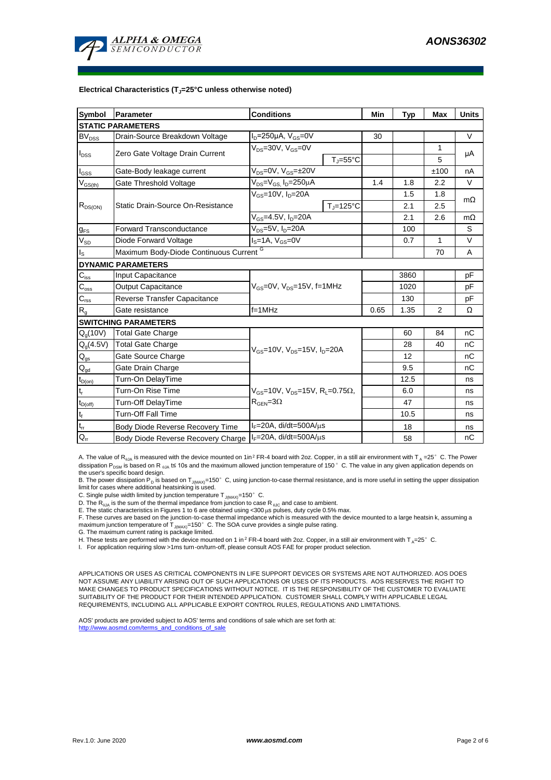

#### **Electrical Characteristics (TJ=25°C unless otherwise noted)**

| Symbol                         | Parameter                               | <b>Conditions</b>                                                                           | Min                       | <b>Typ</b> | <b>Max</b>   | <b>Units</b> |           |  |  |  |  |  |
|--------------------------------|-----------------------------------------|---------------------------------------------------------------------------------------------|---------------------------|------------|--------------|--------------|-----------|--|--|--|--|--|
| <b>STATIC PARAMETERS</b>       |                                         |                                                                                             |                           |            |              |              |           |  |  |  |  |  |
| $\mathsf{BV}_\mathsf{DSS}$     | Drain-Source Breakdown Voltage          | $I_D = 250 \mu A$ , $V_{GS} = 0V$                                                           |                           | 30         |              |              | $\vee$    |  |  |  |  |  |
| $I_{DSS}$                      | Zero Gate Voltage Drain Current         | $V_{DS}$ =30V, $V_{GS}$ =0V                                                                 |                           |            |              | 1            | μA        |  |  |  |  |  |
|                                |                                         |                                                                                             | $T_{\rm J} = 55^{\circ}C$ |            |              | 5            |           |  |  |  |  |  |
| l <sub>GSS</sub>               | Gate-Body leakage current               | $V_{DS} = 0V$ , $V_{GS} = \pm 20V$                                                          |                           |            |              | ±100         | nA        |  |  |  |  |  |
| $\mathsf{V}_{\mathsf{GS(th)}}$ | Gate Threshold Voltage                  | $V_{DS} = V_{GS}$ , $I_D = 250 \mu A$                                                       |                           | 1.4        | 1.8          | 2.2          | $\vee$    |  |  |  |  |  |
| $R_{DS(ON)}$                   |                                         | $V_{GS}$ =10V, $I_D$ =20A                                                                   |                           |            | 1.5          | 1.8          | $m\Omega$ |  |  |  |  |  |
|                                | Static Drain-Source On-Resistance       |                                                                                             | $T_{\rm J}$ =125°C        |            | 2.1          | 2.5          |           |  |  |  |  |  |
|                                |                                         | $V_{GS}$ =4.5V, $I_D$ =20A                                                                  |                           | 2.1        | 2.6          | $m\Omega$    |           |  |  |  |  |  |
| $g_{FS}$                       | <b>Forward Transconductance</b>         | V <sub>DS</sub> =5V, I <sub>D</sub> =20A                                                    |                           | 100        |              | S            |           |  |  |  |  |  |
| $V_{SD}$                       | Diode Forward Voltage                   | $IS=1A, VGS=0V$                                                                             |                           | 0.7        | $\mathbf{1}$ | $\vee$       |           |  |  |  |  |  |
| Is                             | Maximum Body-Diode Continuous Current G |                                                                                             |                           |            | 70           | A            |           |  |  |  |  |  |
| <b>DYNAMIC PARAMETERS</b>      |                                         |                                                                                             |                           |            |              |              |           |  |  |  |  |  |
| $C_{\text{iss}}$               | Input Capacitance                       |                                                                                             |                           | 3860       |              | pF           |           |  |  |  |  |  |
| $C_{\rm oss}$                  | <b>Output Capacitance</b>               | $V_{GS}$ =0V, $V_{DS}$ =15V, f=1MHz                                                         |                           |            | 1020         |              | рF        |  |  |  |  |  |
| $C_{\rm rss}$                  | Reverse Transfer Capacitance            |                                                                                             |                           | 130        |              | pF           |           |  |  |  |  |  |
| $R_{g}$                        | Gate resistance                         | $f=1MHz$                                                                                    |                           | 0.65       | 1.35         | 2            | Ω         |  |  |  |  |  |
|                                | <b>SWITCHING PARAMETERS</b>             |                                                                                             |                           |            |              |              |           |  |  |  |  |  |
| $Q_q(10V)$                     | <b>Total Gate Charge</b>                | $V_{GS}$ =10V, $V_{DS}$ =15V, $I_{D}$ =20A                                                  |                           |            | 60           | 84           | nC        |  |  |  |  |  |
| $Q_g(4.5V)$                    | <b>Total Gate Charge</b>                |                                                                                             |                           |            | 28           | 40           | nC        |  |  |  |  |  |
| $Q_{gs}$                       | Gate Source Charge                      |                                                                                             |                           |            | 12           |              | nC        |  |  |  |  |  |
| $\mathsf{Q}_{\text{gd}}$       | Gate Drain Charge                       |                                                                                             |                           | 9.5        |              | nC           |           |  |  |  |  |  |
| $t_{D(on)}$                    | Turn-On DelayTime                       |                                                                                             |                           |            | 12.5         |              | ns        |  |  |  |  |  |
| t,                             | Turn-On Rise Time                       | $V_{GS}$ =10V, $V_{DS}$ =15V, R <sub>L</sub> =0.75 $\Omega$ ,<br>$R_{\text{GEN}} = 3\Omega$ |                           |            | 6.0          |              | ns        |  |  |  |  |  |
| $t_{D(off)}$                   | <b>Turn-Off DelayTime</b>               |                                                                                             |                           |            | 47           |              | ns        |  |  |  |  |  |
| $\mathsf{t}_{\mathsf{f}}$      | <b>Turn-Off Fall Time</b>               |                                                                                             |                           | 10.5       |              | ns           |           |  |  |  |  |  |
| $\mathfrak{t}_{\text{rr}}$     | Body Diode Reverse Recovery Time        | $I_F = 20A$ , di/dt=500A/ $\mu$ s                                                           |                           |            | 18           |              | ns        |  |  |  |  |  |
| $Q_{rr}$                       | Body Diode Reverse Recovery Charge      | $I_F = 20A$ , di/dt=500A/ $\mu$ s                                                           |                           |            | 58           |              | nC        |  |  |  |  |  |

A. The value of R<sub>BJA</sub> is measured with the device mounted on 1in<sup>2</sup> FR-4 board with 2oz. Copper, in a still air environment with T<sub>A</sub> =25°C. The Power dissipation P<sub>DSM</sub> is based on R <sub>0JA</sub> t≤ 10s and the maximum allowed junction temperature of 150°C. The value in any given application depends on the user's specific board design.

B. The power dissipation P<sub>D</sub> is based on T<sub>J(MAX)</sub>=150°C, using junction-to-case thermal resistance, and is more useful in setting the upper dissipation limit for cases where additional heatsinking is used.

C. Single pulse width limited by junction temperature  $T_{J(MAX)}$ =150°C.

D. The  $R_{a1A}$  is the sum of the thermal impedance from junction to case  $R_{b1C}$  and case to ambient.

E. The static characteristics in Figures 1 to 6 are obtained using <300 μs pulses, duty cycle 0.5% max.<br>F. These curves are based on the junction-to-case thermal impedance which is measured with the device mounted to a la maximum junction temperature of  $T_{J(MAX)}$ =150°C. The SOA curve provides a single pulse rating.

G. The maximum current rating is package limited.

H. These tests are performed with the device mounted on 1 in<sup>2</sup> FR-4 board with 2oz. Copper, in a still air environment with T<sub>A</sub>=25°C.

I. For application requiring slow >1ms turn-on/turn-off, please consult AOS FAE for proper product selection.

APPLICATIONS OR USES AS CRITICAL COMPONENTS IN LIFE SUPPORT DEVICES OR SYSTEMS ARE NOT AUTHORIZED. AOS DOES NOT ASSUME ANY LIABILITY ARISING OUT OF SUCH APPLICATIONS OR USES OF ITS PRODUCTS. AOS RESERVES THE RIGHT TO MAKE CHANGES TO PRODUCT SPECIFICATIONS WITHOUT NOTICE. IT IS THE RESPONSIBILITY OF THE CUSTOMER TO EVALUATE SUITABILITY OF THE PRODUCT FOR THEIR INTENDED APPLICATION. CUSTOMER SHALL COMPLY WITH APPLICABLE LEGAL REQUIREMENTS, INCLUDING ALL APPLICABLE EXPORT CONTROL RULES, REGULATIONS AND LIMITATIONS.

AOS' products are provided subject to AOS' terms and conditions of sale which are set forth at: http://www.aosmd.com/terms\_and\_conditions\_of\_sale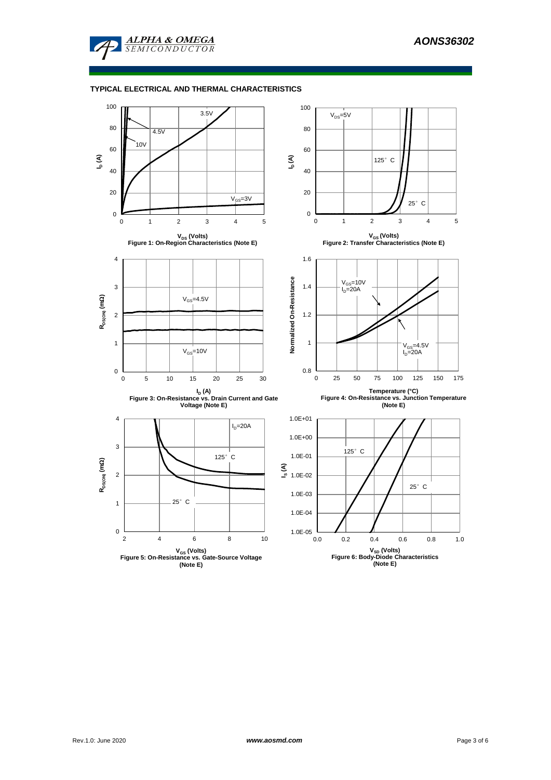

## **TYPICAL ELECTRICAL AND THERMAL CHARACTERISTICS**

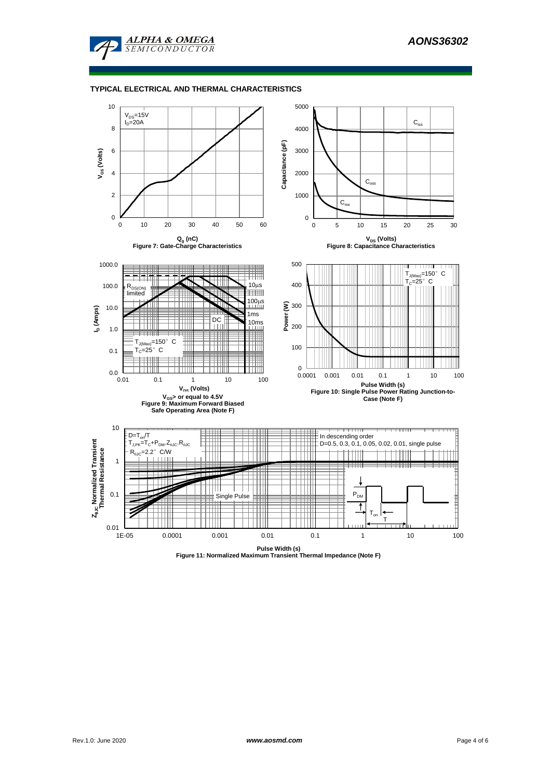

#### **TYPICAL ELECTRICAL AND THERMAL CHARACTERISTICS**

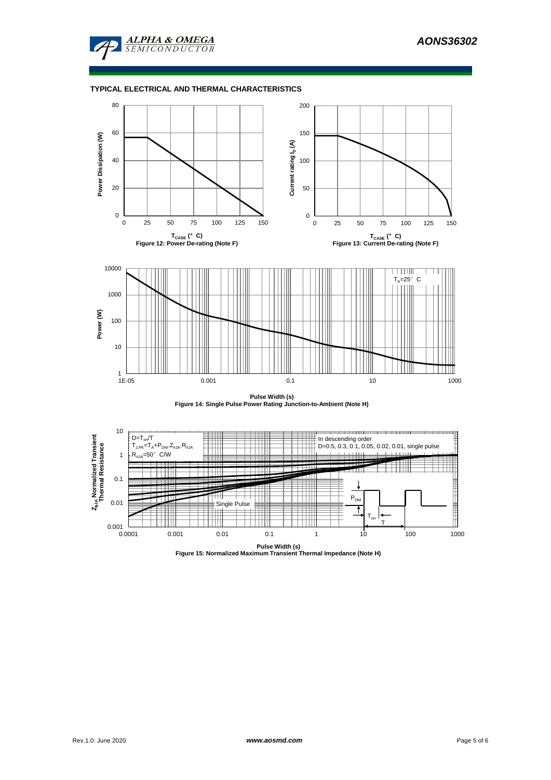![](_page_4_Picture_1.jpeg)

## **TYPICAL ELECTRICAL AND THERMAL CHARACTERISTICS**

![](_page_4_Figure_3.jpeg)

**Pulse Width (s) Figure 14: Single Pulse Power Rating Junction-to-Ambient (Note H)**

![](_page_4_Figure_5.jpeg)

**Pulse Width (s) Figure 15: Normalized Maximum Transient Thermal Impedance (Note H)**